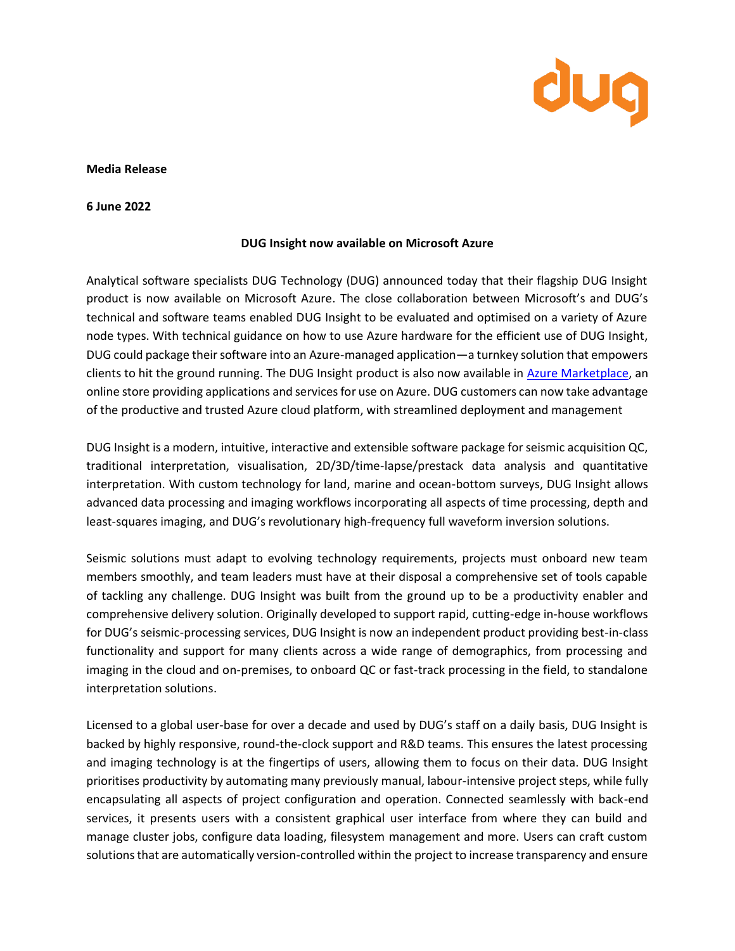

## **Media Release**

**6 June 2022**

## **DUG Insight now available on Microsoft Azure**

Analytical software specialists DUG Technology (DUG) announced today that their flagship DUG Insight product is now available on Microsoft Azure. The close collaboration between Microsoft's and DUG's technical and software teams enabled DUG Insight to be evaluated and optimised on a variety of Azure node types. With technical guidance on how to use Azure hardware for the efficient use of DUG Insight, DUG could package their software into an Azure-managed application—a turnkey solution that empowers clients to hit the ground running. The DUG Insight product is also now available in [Azure Marketplace,](https://azure.microsoft.com/en-us/marketplace/) an online store providing applications and services for use on Azure. DUG customers can now take advantage of the productive and trusted Azure cloud platform, with streamlined deployment and management

DUG Insight is a modern, intuitive, interactive and extensible software package for seismic acquisition QC, traditional interpretation, visualisation, 2D/3D/time-lapse/prestack data analysis and quantitative interpretation. With custom technology for land, marine and ocean-bottom surveys, DUG Insight allows advanced data processing and imaging workflows incorporating all aspects of time processing, depth and least-squares imaging, and DUG's revolutionary high-frequency full waveform inversion solutions.

Seismic solutions must adapt to evolving technology requirements, projects must onboard new team members smoothly, and team leaders must have at their disposal a comprehensive set of tools capable of tackling any challenge. DUG Insight was built from the ground up to be a productivity enabler and comprehensive delivery solution. Originally developed to support rapid, cutting-edge in-house workflows for DUG's seismic-processing services, DUG Insight is now an independent product providing best-in-class functionality and support for many clients across a wide range of demographics, from processing and imaging in the cloud and on-premises, to onboard QC or fast-track processing in the field, to standalone interpretation solutions.

Licensed to a global user-base for over a decade and used by DUG's staff on a daily basis, DUG Insight is backed by highly responsive, round-the-clock support and R&D teams. This ensures the latest processing and imaging technology is at the fingertips of users, allowing them to focus on their data. DUG Insight prioritises productivity by automating many previously manual, labour-intensive project steps, while fully encapsulating all aspects of project configuration and operation. Connected seamlessly with back-end services, it presents users with a consistent graphical user interface from where they can build and manage cluster jobs, configure data loading, filesystem management and more. Users can craft custom solutions that are automatically version-controlled within the project to increase transparency and ensure